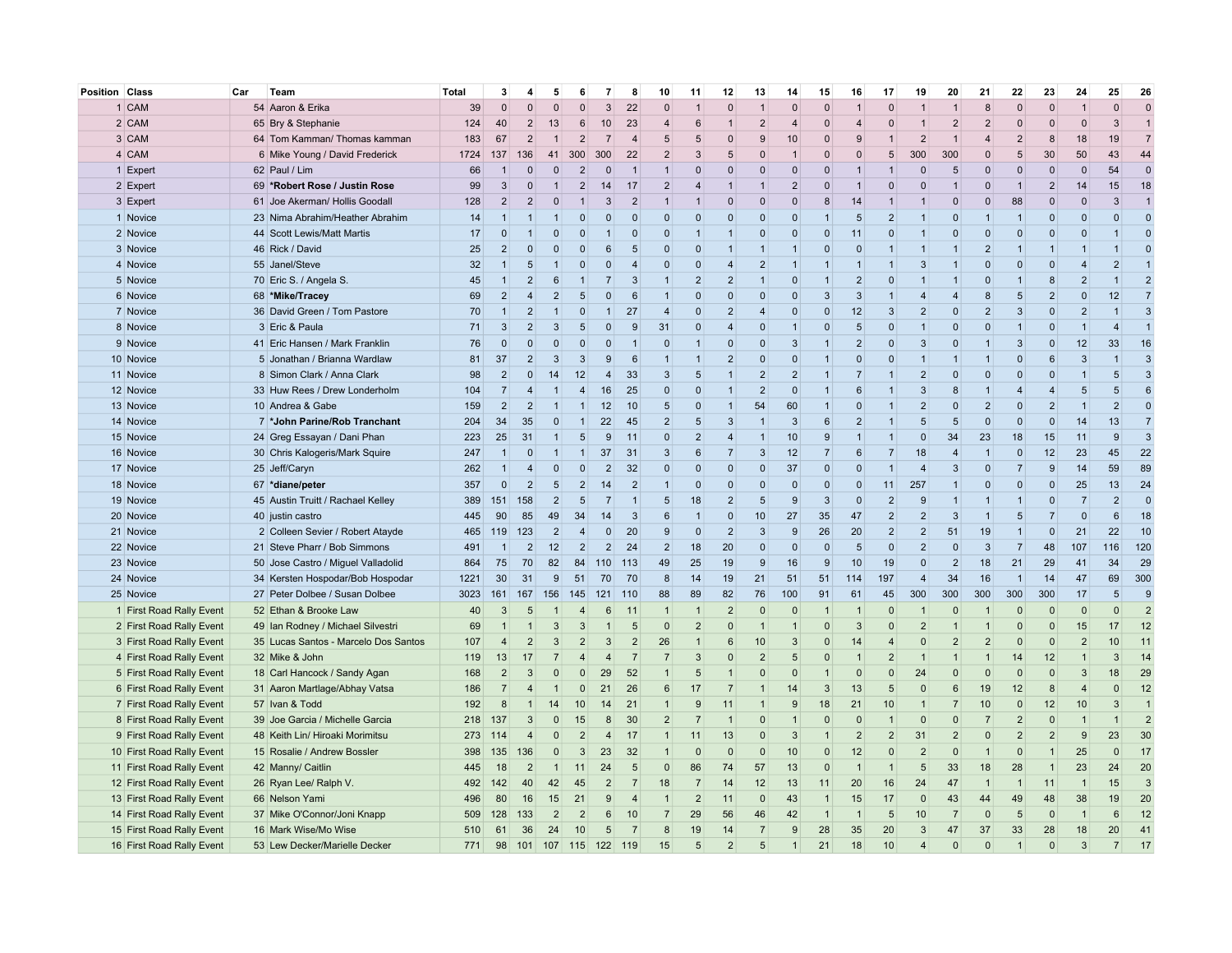| Position | Class                     | Car<br>Team                          | Total | 3              |                | 5              | 6                       | 7              | 8              | 10             | 11             | 12                       | 13              | 14             | 15             | 16              | 17                       | 19             | 20             | 21             | 22                      | 23                  | 24             | 25               | 26             |
|----------|---------------------------|--------------------------------------|-------|----------------|----------------|----------------|-------------------------|----------------|----------------|----------------|----------------|--------------------------|-----------------|----------------|----------------|-----------------|--------------------------|----------------|----------------|----------------|-------------------------|---------------------|----------------|------------------|----------------|
|          | 1 CAM                     | 54 Aaron & Erika                     | 39    | $\Omega$       | $\Omega$       | $\Omega$       | $\mathbf{0}$            | 3              | 22             | $\Omega$       |                | $\Omega$                 | $\overline{1}$  | $\Omega$       | $\Omega$       | 1               | $\Omega$                 | $\mathbf{1}$   |                | 8              | $\Omega$                | $\Omega$            |                | $\Omega$         | $\Omega$       |
|          | 2 CAM                     | 65 Bry & Stephanie                   | 124   | 40             | $\mathcal{P}$  | 13             | 6                       | 10             | 23             | $\overline{4}$ | 6              | -1                       | $\overline{2}$  | $\overline{4}$ | $\Omega$       | $\overline{4}$  | $\Omega$                 | $\overline{1}$ | $\overline{2}$ | $\overline{2}$ | $\Omega$                | $\mathbf 0$         | $\mathbf{0}$   | 3                | $\overline{1}$ |
|          | 3 CAM                     | 64 Tom Kamman/ Thomas kamman         | 183   | 67             | $\overline{2}$ | $\mathbf{1}$   | $\overline{2}$          | $\overline{7}$ | $\overline{4}$ | 5              | 5              | $\mathbf 0$              | 9               | 10             | $\Omega$       | 9               | 1                        | $\overline{2}$ |                | $\overline{4}$ | $\overline{2}$          | 8                   | 18             | 19               | $\overline{7}$ |
|          | 4 CAM                     | 6 Mike Young / David Frederick       | 1724  | 137            | 136            | 41             | 300                     | 300            | 22             | $\overline{2}$ | 3              | 5                        | $\Omega$        | $\mathbf{1}$   | $\Omega$       | $\Omega$        | 5                        | 300            | 300            | $\Omega$       | 5                       | 30                  | 50             | 43               | 44             |
|          | 1 Expert                  | 62 Paul / Lim                        | 66    | -1             | $\Omega$       | $\overline{0}$ | $\overline{2}$          | $\mathbf 0$    | $\overline{1}$ | 1              | $\mathbf{0}$   | $\mathbf{0}$             | $\overline{0}$  | $\overline{0}$ | $\mathbf{0}$   | $\mathbf{1}$    | 1                        | $\mathbf 0$    | 5              | $\Omega$       | $\mathbf 0$             | $\mathbf 0$         | $\mathbf{0}$   | 54               | $\Omega$       |
|          | 2 Expert                  | 69 *Robert Rose / Justin Rose        | 99    | 3              | $\Omega$       | $\overline{1}$ | $\overline{2}$          | 14             | 17             | $\overline{2}$ | $\overline{4}$ | $\mathbf{1}$             | $\mathbf 1$     | $\overline{2}$ | $\Omega$       | $\overline{1}$  | $\Omega$                 | $\Omega$       | $\overline{1}$ | $\Omega$       | $\overline{1}$          | $\overline{2}$      | 14             | 15               | 18             |
|          | 3 Expert                  | 61 Joe Akerman/ Hollis Goodall       | 128   | $\overline{2}$ | $\overline{2}$ | $\overline{0}$ | $\overline{1}$          | 3              | $\overline{2}$ | $\mathbf 1$    | $\overline{1}$ | $\Omega$                 | $\overline{0}$  | $\Omega$       | 8              | 14              | $\mathbf{1}$             | $\mathbf{1}$   | $\Omega$       | $\Omega$       | 88                      | $\mathbf{0}$        | $\mathbf{0}$   | 3                | $\mathbf{1}$   |
|          | 1 Novice                  | 23 Nima Abrahim/Heather Abrahim      | 14    | $\overline{1}$ | $\mathbf{1}$   | $\mathbf 1$    | $\Omega$                | $\Omega$       | $\Omega$       | $\Omega$       | $\Omega$       | $\Omega$                 | $\Omega$        | $\Omega$       | $\overline{1}$ | 5               | $\overline{2}$           | $\overline{1}$ | $\Omega$       | $\mathbf{1}$   | $\overline{1}$          | $\Omega$            | $\Omega$       | $\Omega$         | $\mathbf{C}$   |
|          | 2 Novice                  | 44 Scott Lewis/Matt Martis           | 17    | $\Omega$       | $\mathbf{1}$   | $\mathbf 0$    | $\mathbf{0}$            | $\mathbf{1}$   | $\overline{0}$ | $\Omega$       | $\mathbf{1}$   | $\mathbf{1}$             | $\overline{0}$  | 0              | $\mathbf{0}$   | 11              | $\Omega$                 | $\overline{1}$ | $\Omega$       | $\Omega$       | $\Omega$                | $\mathbf{0}$        | $\mathbf 0$    | $\mathbf{1}$     | $\Omega$       |
|          | 3 Novice                  | 46 Rick / David                      | 25    | $\overline{2}$ | $\Omega$       | $\Omega$       | $\Omega$                | 6              | 5              | $\Omega$       | $\Omega$       | $\overline{1}$           | $\overline{1}$  | $\overline{1}$ | $\Omega$       | $\overline{0}$  | $\overline{1}$           | $\overline{1}$ | $\overline{1}$ | $\overline{2}$ | $\mathbf{1}$            | $\overline{1}$      | $\overline{1}$ | $\overline{1}$   | $\Omega$       |
|          | 4 Novice                  | 55 Janel/Steve                       | 32    | $\overline{1}$ | 5              | $\mathbf{1}$   | $\mathbf 0$             | $\Omega$       | $\overline{4}$ | $\Omega$       | $\mathbf{0}$   | $\overline{4}$           | 2               | $\overline{1}$ | $\mathbf 1$    | $\overline{1}$  | $\mathbf{1}$             | 3              | $\overline{1}$ | $\Omega$       | $\Omega$                | $\mathbf 0$         | $\overline{4}$ | $2 \overline{2}$ | $\overline{1}$ |
|          | 5 Novice                  | 70 Eric S. / Angela S.               | 45    | $\overline{1}$ | $\overline{2}$ | 6              | $\mathbf{1}$            | $\overline{7}$ | 3              | $\overline{1}$ | $\overline{2}$ | $\overline{2}$           | $\overline{1}$  | $\Omega$       | $\mathbf{1}$   | $\overline{2}$  | $\mathbf{0}$             | $\overline{1}$ | $\overline{1}$ | $\Omega$       | $\overline{1}$          | 8                   | $\overline{2}$ | $\overline{1}$   | $\overline{2}$ |
|          | 6 Novice                  | 68 *Mike/Tracey                      | 69    | $\overline{2}$ | 4              | $\overline{2}$ | 5                       | $\Omega$       | 6              | $\overline{1}$ | $\mathbf{0}$   | $\mathbf{0}$             | $\overline{0}$  | 0              | 3              | $\mathbf{3}$    | $\mathbf{1}$             | $\overline{4}$ | $\overline{4}$ | 8              | 5                       | $\overline{2}$      | $\mathbf 0$    | 12               | $\overline{7}$ |
|          | 7 Novice                  | 36 David Green / Tom Pastore         | 70    | $\overline{1}$ | $\overline{2}$ | $\overline{1}$ | $\mathbf 0$             | $\mathbf{1}$   | 27             | $\overline{4}$ | $\mathbf{0}$   | $\overline{2}$           | $\overline{4}$  | $\mathbf{0}$   | $\overline{0}$ | 12              | 3                        | $\overline{2}$ | $\Omega$       | $\overline{2}$ | 3                       | $\mathbf{0}$        | $\overline{2}$ | $\mathbf{1}$     | 3              |
|          | 8 Novice                  | 3 Eric & Paula                       | 71    | 3              | $\overline{2}$ | 3              | 5                       | $\mathbf 0$    | 9              | 31             | $\mathbf{0}$   | $\overline{4}$           | $\overline{0}$  | $\overline{1}$ | $\overline{0}$ | $5\phantom{.0}$ | $\mathbf{0}$             | $\overline{1}$ | $\mathbf{0}$   | $\overline{0}$ | $\mathbf{1}$            | $\mathsf{O}\xspace$ | $\overline{1}$ | $\overline{4}$   | $\overline{1}$ |
|          | 9 Novice                  | 41 Eric Hansen / Mark Franklin       | 76    | $\Omega$       | $\Omega$       | $\Omega$       | $\mathbf 0$             | $\Omega$       | $\overline{1}$ | $\Omega$       | $\overline{1}$ | $\mathbf 0$              | $\overline{0}$  | 3              | $\mathbf{1}$   | $\overline{2}$  | $\Omega$                 | 3              | $\Omega$       | $\overline{1}$ | 3                       | $\mathbf{0}$        | 12             | 33               | 16             |
|          | 10 Novice                 | 5 Jonathan / Brianna Wardlaw         | 81    | 37             | $\overline{2}$ | 3              | 3                       | $\mathbf{q}$   | 6              |                | $\overline{1}$ | $\overline{\phantom{0}}$ | $\overline{0}$  | $\overline{0}$ | $\overline{1}$ | $\overline{0}$  | $\Omega$                 | $\overline{1}$ | $\mathbf{1}$   |                | $\Omega$                | $6\phantom{1}$      | 3              | $\overline{1}$   | 3              |
|          | 11 Novice                 | 8 Simon Clark / Anna Clark           | 98    | $\overline{2}$ | $\Omega$       | 14             | 12                      | $\overline{4}$ | 33             | 3              | 5              | $\overline{1}$           | $\overline{2}$  | $\overline{2}$ | $\mathbf{1}$   | $\overline{7}$  | $\mathbf{1}$             | $\overline{2}$ | $\Omega$       | $\Omega$       | $\Omega$                | $\Omega$            | $\overline{1}$ | 5                | 3              |
|          | 12 Novice                 | 33 Huw Rees / Drew Londerholm        | 104   | $\overline{7}$ | $\overline{4}$ | $\mathbf 1$    | $\overline{4}$          | 16             | 25             | $\Omega$       | $\mathbf{0}$   | $\mathbf{1}$             | $\overline{2}$  | $\overline{0}$ | $\mathbf 1$    | 6               | $\mathbf{1}$             | $\mathbf{3}$   | $\mathsf{R}$   | $\overline{1}$ | $\overline{4}$          | $\overline{4}$      | 5              | 5                | 6              |
|          | 13 Novice                 | 10 Andrea & Gabe                     | 159   | $\overline{2}$ | $\overline{2}$ | 1              | $\mathbf{1}$            | 12             | 10             | 5 <sub>5</sub> | $\mathbf{0}$   | $\mathbf{1}$             | 54              | 60             | $\mathbf 1$    | $\overline{0}$  | $\mathbf{1}$             | $\overline{2}$ | $\Omega$       | $\overline{2}$ | $\overline{0}$          | $\overline{2}$      | $\overline{1}$ | $\overline{2}$   | $\Omega$       |
|          | 14 Novice                 | 7 *John Parine/Rob Tranchant         | 204   | 34             | 35             | $\Omega$       | $\mathbf{1}$            | 22             | 45             | $\overline{2}$ | 5              | 3                        | $\overline{1}$  | 3              | 6              | $\overline{2}$  | $\mathbf{1}$             | 5              | 5              | $\Omega$       | $\Omega$                | $\mathbf 0$         | 14             | 13               | $\overline{7}$ |
|          | 15 Novice                 | 24 Greg Essayan / Dani Phan          | 223   | 25             | 31             | $\mathbf 1$    | 5                       | 9              | 11             | $\Omega$       | $\overline{2}$ | $\overline{4}$           | $\overline{1}$  | 10             | 9              | $\mathbf{1}$    | $\mathbf{1}$             | $\overline{0}$ | 34             | 23             | 18                      | 15                  | 11             | 9                | 3              |
|          | 16 Novice                 | 30 Chris Kalogeris/Mark Squire       | 247   | $\overline{1}$ | $\Omega$       | $\mathbf{1}$   | $\mathbf{1}$            | 37             | 31             | 3              | 6              | $\overline{7}$           | 3               | 12             | $\overline{7}$ | 6               | $\overline{7}$           | 18             | $\overline{4}$ | $\overline{1}$ | $\Omega$                | 12                  | 23             | 45               | 22             |
|          | 17 Novice                 | 25 Jeff/Caryn                        | 262   | $\overline{1}$ | 4              | $\overline{0}$ | $\mathbf 0$             | $\overline{2}$ | 32             | $\Omega$       | $\mathbf{0}$   | $\mathbf{0}$             | $\overline{0}$  | 37             | $\Omega$       | $\overline{0}$  | $\mathbf{1}$             | $\overline{4}$ | 3              | $\Omega$       | $\overline{7}$          | 9                   | 14             | 59               | 89             |
|          | 18 Novice                 | 67 *diane/peter                      | 357   | $\Omega$       | $\overline{2}$ | 5              | $\overline{2}$          | 14             | $\overline{2}$ | $\overline{1}$ | $\overline{0}$ | $\mathbf{0}$             | $\overline{0}$  | $\Omega$       | $\Omega$       | $\overline{0}$  | 11                       | 257            | $\overline{1}$ | $\Omega$       | $\Omega$                | $\mathbf{0}$        | 25             | 13               | 24             |
|          | 19 Novice                 | 45 Austin Truitt / Rachael Kelley    | 389   | 151            | 158            | $\overline{2}$ | $5\phantom{.0}$         | $\overline{7}$ | $\overline{1}$ | 5              | 18             | $\overline{2}$           | 5               | 9              | 3              | $\overline{0}$  | $\overline{2}$           | -9             | $\overline{1}$ | $\mathbf{1}$   | $\mathbf{1}$            | $\overline{0}$      | $\overline{7}$ | $\overline{2}$   | $\overline{0}$ |
|          | 20 Novice                 | 40 justin castro                     | 445   | 90             | 85             | 49             | 34                      | 14             | 3              | 6              | $\overline{1}$ | $\Omega$                 | 10 <sup>1</sup> | 27             | 35             | 47              | $\overline{2}$           | $\overline{2}$ | 3              | $\mathbf{1}$   | 5                       | $\overline{7}$      | $\mathbf{0}$   | 6                | 18             |
|          | 21 Novice                 | 2 Colleen Sevier / Robert Atayde     | 465   | 119            | 123            | $\overline{2}$ | $\overline{4}$          | $\mathbf 0$    | 20             | 9              | $\mathbf{0}$   | $\overline{2}$           | 3               | 9              | 26             | 20              | $\overline{2}$           | $\overline{2}$ | 51             | 19             | $\mathbf{1}$            | $\mathbf 0$         | 21             | 22               | 10             |
|          | 22 Novice                 | 21 Steve Pharr / Bob Simmons         | 491   | $\overline{1}$ | $\overline{2}$ | 12             | $\overline{2}$          | $\overline{2}$ | 24             | $\overline{2}$ | 18             | 20                       | $\overline{0}$  | $\overline{0}$ | $\overline{0}$ | 5               | $\mathbf{0}$             | $\overline{2}$ | $\Omega$       | 3              | $\overline{7}$          | 48                  | 107            | 116              | 120            |
|          | 23 Novice                 | 50 Jose Castro / Miguel Valladolid   | 864   | 75             | 70             | 82             | 84                      | 110            | 113            | 49             | 25             | 19                       | 9               | 16             | 9              | 10              | 19                       | $\mathbf 0$    | $\overline{2}$ | 18             | 21                      | 29                  | 41             | 34               | 29             |
|          | 24 Novice                 | 34 Kersten Hospodar/Bob Hospodar     | 1221  | 30             | 31             | 9              | 51                      | 70             | 70             | 8              | 14             | 19                       | 21              | 51             | 51             | 114             | 197                      | $\overline{4}$ | 34             | 16             | $\mathbf{1}$            | 14                  | 47             | 69               | 300            |
|          | 25 Novice                 | 27 Peter Dolbee / Susan Dolbee       | 3023  | 161            | 167            | 156            | 145                     | 121            | 110            | 88             | 89             | 82                       | 76              | 100            | 91             | 61              | 45                       | 300            | 300            | 300            | 300                     | 300                 | 17             | 5                | 9              |
|          | 1 First Road Rally Event  | 52 Ethan & Brooke Law                | 40    | 3              | 5              |                | 4                       | 6              | 11             | $\mathbf{1}$   | $\overline{1}$ | $\overline{2}$           | $\mathbf 0$     | $\mathbf 0$    | $\mathbf 1$    |                 | $\mathbf{0}$             | $\overline{1}$ | $\Omega$       |                | $\Omega$                | $\mathbf{0}$        | $\mathbf 0$    | $\Omega$         | $\overline{2}$ |
|          | 2 First Road Rally Event  | 49 Ian Rodney / Michael Silvestri    | 69    | -1             |                | 3              | 3                       |                | 5              | $\Omega$       | $\overline{2}$ | $\Omega$                 | $\overline{1}$  | $\overline{1}$ | $\overline{0}$ | 3               | $\Omega$                 | $\overline{2}$ | 1              |                | $\Omega$                | $\mathbf{0}$        | 15             | 17               | 12             |
|          | 3 First Road Rally Event  | 35 Lucas Santos - Marcelo Dos Santos | 107   | $\overline{4}$ | $\overline{2}$ | 3              | $\overline{2}$          | 3              | $\overline{2}$ | 26             | $\overline{1}$ | 6                        | 10 <sup>1</sup> | 3              | $\Omega$       | 14              | 4                        | $\Omega$       | $\overline{2}$ | $\overline{2}$ | $\Omega$                | $\mathbf{0}$        | $\overline{2}$ | 10               | 11             |
|          | 4 First Road Rally Event  | 32 Mike & John                       | 119   | 13             | 17             |                | $\overline{\mathbf{4}}$ | $\overline{4}$ | $\overline{7}$ |                | 3              | $\Omega$                 | $\overline{2}$  | 5              | $\Omega$       | $\mathbf 1$     | $\overline{\phantom{0}}$ | $\overline{1}$ | $\mathbf{1}$   | $\overline{1}$ | 14                      | 12                  | $\overline{1}$ | 3                | 14             |
|          | 5 First Road Rally Event  | 18 Carl Hancock / Sandy Agan         | 168   | $\overline{2}$ | 3              | $\Omega$       | $\mathbf 0$             | 29             | 52             |                | 5              |                          | $\mathbf 0$     | $\overline{0}$ | $\mathbf 1$    | $\Omega$        | $\Omega$                 | 24             | $\Omega$       | $\Omega$       | $\Omega$                | $\mathbf{0}$        | 3              | 18               | 29             |
|          | 6 First Road Rally Event  | 31 Aaron Martlage/Abhay Vatsa        | 186   | $\overline{7}$ | $\overline{4}$ | 1              | $\mathbf{0}$            | 21             | 26             | 6              | 17             | $\overline{7}$           | $\overline{1}$  | 14             | 3              | 13              | 5                        | $\Omega$       | 6              | 19             | 12                      | 8                   | $\overline{4}$ | $\Omega$         | 12             |
|          | 7 First Road Rally Event  | 57 Ivan & Todd                       | 192   | 8              | $\mathbf{1}$   | 14             | 10                      | 14             | 21             | -1             | 9              | 11                       | $\mathbf 1$     | 9              | 18             | 21              | 10                       | -1             | 7              | 10             | $\mathbf 0$             | 12                  | 10             | 3                | $\overline{1}$ |
|          | 8 First Road Rally Event  | 39 Joe Garcia / Michelle Garcia      | 218   | 137            | 3              | $\Omega$       | 15                      | 8              | 30             | $\overline{2}$ | $\overline{7}$ | $\overline{1}$           | $\overline{0}$  | $\overline{1}$ | $\Omega$       | $\Omega$        | $\overline{1}$           | $\Omega$       | $\Omega$       | $\overline{7}$ | $\overline{2}$          | $\mathbf{0}$        | $\overline{1}$ | $\overline{1}$   | $\overline{2}$ |
|          | 9 First Road Rally Event  | 48 Keith Lin/ Hiroaki Morimitsu      | 273   | 114            | $\overline{4}$ | $\overline{0}$ | $\overline{2}$          | $\overline{4}$ | 17             | 1              | 11             | 13                       | $\overline{0}$  | 3              | $\mathbf 1$    | $\overline{2}$  | $\overline{2}$           | 31             | $\overline{2}$ | $\Omega$       | $\overline{2}$          | $\overline{2}$      | 9              | 23               | 30             |
|          | 10 First Road Rally Event | 15 Rosalie / Andrew Bossler          | 398   | 135            | 136            | $\Omega$       | 3                       | 23             | 32             | $\overline{1}$ | $\Omega$       | $\Omega$                 | $\overline{0}$  | 10             | $\Omega$       | 12              | $\Omega$                 | $\overline{2}$ | $\Omega$       | $\mathbf{1}$   | $\Omega$                | $\overline{1}$      | 25             | $\Omega$         | 17             |
|          | 11 First Road Rally Event | 42 Manny/ Caitlin                    | 445   | 18             | $\overline{2}$ | $\mathbf{1}$   | 11                      | 24             | 5              | $\mathbf 0$    | 86             | 74                       | 57              | 13             | $\overline{0}$ | $\overline{1}$  | $\mathbf{1}$             | 5              | 33             | 18             | 28                      | $\overline{1}$      | 23             | 24               | 20             |
|          | 12 First Road Rally Event | 26 Ryan Lee/ Ralph V.                | 492   | 142            | 40             | 42             | 45                      | 2              | $\overline{7}$ | 18             | $\overline{7}$ | 14                       | 12              | 13             | 11             | 20              | 16                       | 24             | 47             | $\mathbf{1}$   | $\overline{\mathbf{1}}$ | 11                  | $\overline{1}$ | 15               | 3              |
|          | 13 First Road Rally Event | 66 Nelson Yami                       | 496   | 80             | 16             | 15             | 21                      | 9              | $\overline{4}$ | 1              | $\overline{2}$ | 11                       | $\overline{0}$  | 43             | $\mathbf 1$    | 15              | 17                       | $\overline{0}$ | 43             | 44             | 49                      | 48                  | 38             | 19               | 20             |
|          | 14 First Road Rally Event | 37 Mike O'Connor/Joni Knapp          | 509   | 128            | 133            | $\overline{2}$ | $\overline{2}$          | 6              | 10             |                | 29             | 56                       | 46              | 42             | $\mathbf{1}$   | $\overline{1}$  | 5                        | 10             | $\overline{7}$ | $\Omega$       | 5                       | $\mathbf 0$         | $\overline{1}$ | 6                | 12             |
|          | 15 First Road Rally Event | 16 Mark Wise/Mo Wise                 | 510   | 61             | 36             | 24             | 10                      | 5              | $\overline{7}$ | 8              | 19             | 14                       | $\overline{7}$  | 9              | 28             | 35              | 20                       | 3              | 47             | 37             | 33                      | 28                  | 18             | 20               | 41             |
|          | 16 First Road Rally Event | 53 Lew Decker/Marielle Decker        | 771   | 98             | 101            | 107            | 115                     | 122            | 119            | 15             | 5              | $\mathfrak{p}$           | 5               | 1              | 21             | 18              | 10                       | $\Delta$       | $\Omega$       | $\Omega$       |                         | $\Omega$            | 3              | $\overline{7}$   | 17             |